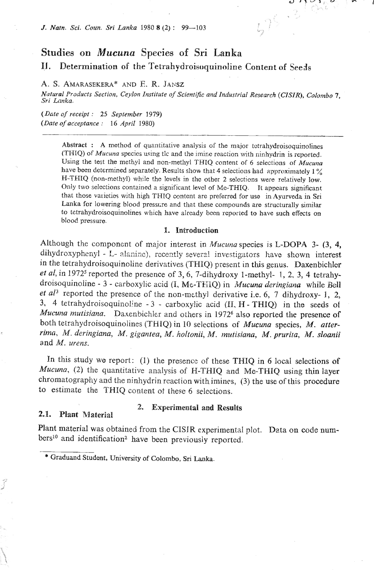*J. Natn. Sci. Coun. Sri Lanka* 1980 8 (2) : 99-103

# **Studies on** *Mucuna* **Species sf** Sri **Lanka**

**IJ** . Determination of the Tetrahydroisoquinoline Content **of** Seeds

**A.** \$. AMARASEKERA\* AND E. R. **JAMZ** 

*Natural Products Section, Ceylon Institute of Scientific and Indusri.ial Research* **(CISZR),** *Colombo* **7.**  *Sri Lnnka.* 

 $\mathbf{r}$   $\mathbf{r}$   $\mathbf{v}$   $\mathbf{v}$   $\mathbf{r}$   $\mathbf{r}$   $\mathbf{r}$ 

 $L75.3$ 

*(Dote of receigt* : *25 September 1979) (Date of acceptance* : *16 April* 1980)

> **Abstract** : **A** method of quantitative analysis of the major totrahydroisoquinolines (THIQ) of *Mucuna* specics using tlc and the imine roaction with ninhydrin is reported. Using the test the methyl and non-methyl THIQ content of *6* selections of *Mucuna*  have been determined separately. Results show that 4 selections had approximately 1% **H-TIHIQ** (non-methyl) while the leve!s in the other 2 **se!ections** were relatively **low.**  Only two selections contained a significant level of Me-THIQ. It appears significant that those valietios with high THIQ Entent are preferred for uso in Ayurveda in Sri Lanka for lowering blood pressure and that these compounds are structurally similar to tetrahydroisoquinolines which have already been reported to **have such effects** on blood pressure.

#### I. **Introduction**

Although the component of major interest in *Mucuna* species is L-DOPA 3- (3, 4, dihydroxyphenyl - L- alanine), recently several investigators have shown interest in the tetrahydroisoquinoline derivatives (THIQ) present in *this* genus. Daxenbichlor *et al,* in 1972<sup>5</sup> reported the presence of 3, 6, 7-dihydroxy 1-methyl- 1, 2, 3, 4 tetrahydroisoquinoline - 3 - carboxylic acid (I, Me-THIQ) in *Mucuna deringiana* while Bell *et al*<sup>3</sup> reported the presence of the non-methyl derivative i.e. 6, 7 dihydroxy- 1, 2, 3, 4 tetrahydroisoquinoline - 3 - carboxylic acid (II, H - THIQ) in the seeds of Mucuna mutisiana. Daxenbichler and others in 1972 $<sup>6</sup>$  also reported the presence of</sup> both tetrahydroisoquinolines (THIQ) in 10 selections of *Mucuna* species, M. *after*rima, M. deringiana, M. gigantea, *M,* holtonii, M. muii,siana, M. prurita, M. *sloanii*  and *M.* urens.

In this study we report: (1) the presence of these **THIQ** in **6** local selections of *Muczma,* (2) the quantitative analysis of **H-THIQ** and Me-THIQ **using thin** layer chromatography and the ninhydrin reaction withimines, **(3)** the use of this procedure to estimate the **THHQ** content ot these 6 selections.

# 2.1. **Plant Material**

# 2. **Experimental and Results**

Plant material was obtained from the CISJR experimental plot. Data on code numbers<sup>10</sup> and identification<sup>2</sup> have been previously reported.

<sup>\*</sup> **Graduand Studont,** University **of Colombo, Sri Lanka.**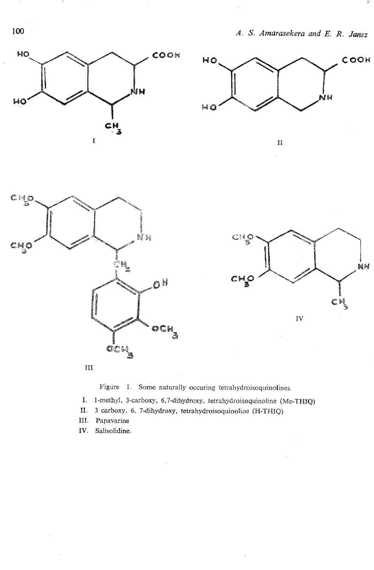









Figure 1. Somo naturally occuring :etrahydroisoqainolines

I. 1-methyl, 3-carboxy, 6,7-dihydroxy, tetrahydroisoquinolinc (Me-THrQ)

- 11. **3 carboxg,** 6, 7dihydroxy, tetrahydroisoquinolinc **(N-THIQ)**
- 111. Papavarine
- IV. Salisolidine.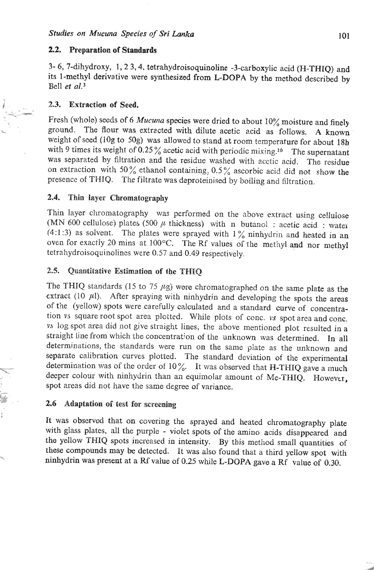## **2.2. Preparation of Standards**

3- *6,* 7-dihydroxy, 1,2 **3,4,** tetrahydroisoquinoline -3-carboxylic acid (H-THIQ) and its 1-methyl derivative were synthesized from L-DOPA by the method described by Bell *et al.*<sup> $3$ </sup>

## 2.3. Extraction of Seed.

**C** 

Fresh (wholo) seeds of 6 *Mucuna* species were dried to about 10% moisture and finely ground. The flour was extracted with dilute acetic xid as follows. **A** known weight of soed **(log** to 50g) was allowed to stand at room temperature for about **18h**  with 9 times its weight of 0.25% acetic acid with periodic mixing.<sup>10</sup> The supernatant was separated by filtration and the residue washed with acctic acid. The residue on extraction with 50% ethanol containing, 0.5% ascorbic acid did not show the presence of THIQ. The filtrate was deproteinised by boiling and filtration.

#### **2.4. Thin layer Chromatography**

Thin layer chromatography was performed on the above extract using cellulose (MN 600 cellulose) plates (500  $\mu$  thickness) with n butanol : acetic acid : water (4:1:3) as solvent. The plates were sprayed with  $1\%$  ninhydrin and heated in an oven for exactly 20 mins at 100°C. The Rf values of the methyl and nor methyl tetrahydroisoquinolines were 0.57 and 0.49 respectively.

#### **2.5.** Quantitative Estimation of the THIO

The THIQ standards (15 to 75  $\mu$ g) were chromatographed on the same plate as the extract (10  $\mu$ l). After spraying with ninhydrin and developing the spots the areas of the (yellow) spots were carefully calculated and a standard curve of concentration **vs** square root spot area plotted. While plots of conc. **vs** spot area and conc. vs log spot area did not give straight lines, the above mentioned plot resulted in a straight line from which the concentration of the unknown was determined. In all determinations, the standards wore run on the same plate as the unknown and separate calibration curves plotted. The standard deviation of the experimental determination was of the order of  $10\%$ . It was observed that H-THIQ gave a much deeper colour with ninhydrin than an equimolar amount of Me-THIQ. However, spot areas did not have the same degree of variance.

# **2.6 Adaptation of test for screening**

It was observed that on covering the sprayed and heated chromatography plate with glass plates, all the purple - violet spots of the amino acids disappeared and the yellow THIQ spots increased in intensity. By tbis method small quantities of these compounds may be detected. It was also found that a third yellow spot with ninhydrin was present at a Rf value of 0.25 while L-DOPA gave a Rf value of 0.30.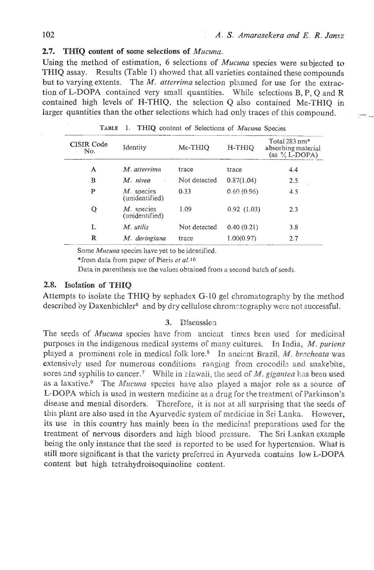# *2.7.* **THQ** *content* **of** *some selections* **of** *Mucunu.*

Using the method of estimation, *6* selections of *Mucuna* species were subjected to THIQ assay. Results (Table 1) showed that all varieties contained these compounds but to varying extents. The *M. atterrima* selection planned for use for the extraction of L-DOPA contained very small quantities. Wnile selections **B,** P, *Q* and **R**  contained high levels of W-TMIQ, the selection Q also contained Me-THIQ in larger quantities than the other selections which had only traces of this compound.

| CISIR Code<br>No. | Identity                        | Me-THIO      | H-THIO     | Total $283$ nm*<br>absorbing material<br>(as $\%$ L-DOPA) |
|-------------------|---------------------------------|--------------|------------|-----------------------------------------------------------|
| A                 | M. atterrima                    | trace        | trace      | 4.4                                                       |
| B                 | M. nivea                        | Not detected | 0.87(1.04) | 2.5                                                       |
| P                 | M. species<br>(unidentified)    | 0.33         | 0.60(0.96) | 4.5                                                       |
| Q                 | $M$ . species<br>(unidentified) | 1.09         | 0.92(1.03) | 2.3                                                       |
| L                 | M. utilis                       | Not detected | 0.40(0.21) | 3.8                                                       |
| R                 | M. deringiana                   | trace        | 1.00(0.97) | 2.7                                                       |

TABLE I. THIQ content of Selections of *Mucuna* Species

\*from data from paper of Pieris *et al.10* 

Data in parenthesis are the values obtained from a second batch of seeds.

# 2.8. Isolation of THIQ

Attempts to isolate the THIQ by sepliadex G-10 gel chromatography by the method described by Daxenbichler<sup>6</sup> and by dry cellulose chromatography were not successful.

## 3. Discussion

The seeds of *Mucuna* species have from ancient times been used for medicinal purposes in the indigenous medical systems of many cultures. In India, M. *puriens*  played a prominent role in medical folk lore.<sup>8</sup> In anciont Brazil, M. *bracheata* was extensively used for numerous conditions ranging from crocodile and snakebite, sores and syphilis to cancer.<sup>7</sup> While in Hawaii, the seed of *M. gigantea* has been used as a laxative.<sup>9</sup> The *Mucuna* species have also played a major role as a source of L-DOPA which is used in western medicine as a drug for the treatment of Parkinson's disease and mental disorders. Therefore, it is not at all surprising that the seeds of this plant are also used in the Ayurvedic system of medicine in Sri Lanka. However, its use in this country has mainly been in the medicinal preparations used for the treatment of nervous disorders and high blood pressure. The **Sri** Lankan example being the only instance that the seed is reported to be used for hypertension. What is still more significant is that the variety preferred in Ayurveda contains low L-DOPA content but high tetrahydroisoquinoline content.